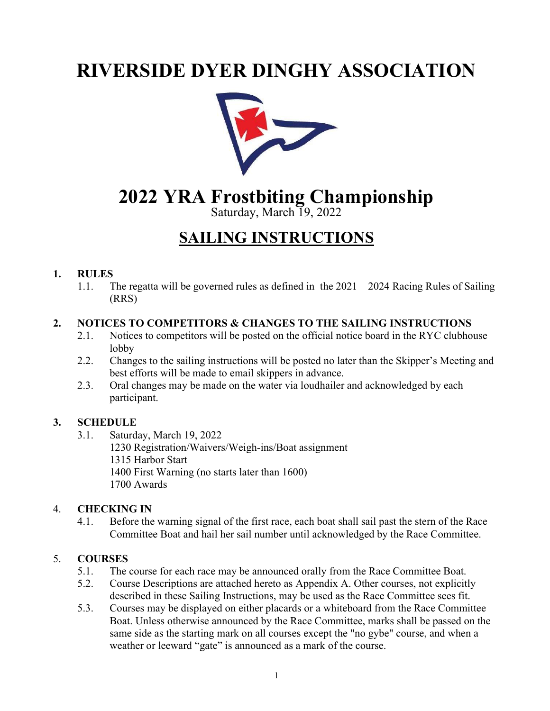# RIVERSIDE DYER DINGHY ASSOCIATION



# 2022 YRA Frostbiting Championship

Saturday, March 19, 2022

# SAILING INSTRUCTIONS

#### 1. RULES

1.1. The regatta will be governed rules as defined in the 2021 – 2024 Racing Rules of Sailing (RRS)

#### 2. NOTICES TO COMPETITORS & CHANGES TO THE SAILING INSTRUCTIONS

- 2.1. Notices to competitors will be posted on the official notice board in the RYC clubhouse lobby
- 2.2. Changes to the sailing instructions will be posted no later than the Skipper's Meeting and best efforts will be made to email skippers in advance.
- 2.3. Oral changes may be made on the water via loudhailer and acknowledged by each participant.

## 3. SCHEDULE

3.1. Saturday, March 19, 2022

1230 Registration/Waivers/Weigh-ins/Boat assignment 1315 Harbor Start 1400 First Warning (no starts later than 1600) 1700 Awards

## 4. CHECKING IN

4.1. Before the warning signal of the first race, each boat shall sail past the stern of the Race Committee Boat and hail her sail number until acknowledged by the Race Committee.

## 5. COURSES

- 5.1. The course for each race may be announced orally from the Race Committee Boat.
- 5.2. Course Descriptions are attached hereto as Appendix A. Other courses, not explicitly described in these Sailing Instructions, may be used as the Race Committee sees fit.
- 5.3. Courses may be displayed on either placards or a whiteboard from the Race Committee Boat. Unless otherwise announced by the Race Committee, marks shall be passed on the same side as the starting mark on all courses except the "no gybe" course, and when a weather or leeward "gate" is announced as a mark of the course.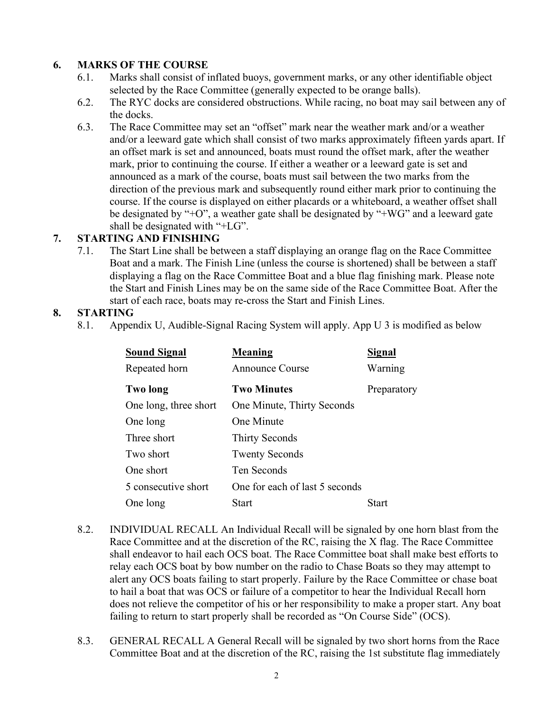#### 6. MARKS OF THE COURSE

- 6.1. Marks shall consist of inflated buoys, government marks, or any other identifiable object selected by the Race Committee (generally expected to be orange balls).
- 6.2. The RYC docks are considered obstructions. While racing, no boat may sail between any of the docks.
- 6.3. The Race Committee may set an "offset" mark near the weather mark and/or a weather and/or a leeward gate which shall consist of two marks approximately fifteen yards apart. If an offset mark is set and announced, boats must round the offset mark, after the weather mark, prior to continuing the course. If either a weather or a leeward gate is set and announced as a mark of the course, boats must sail between the two marks from the direction of the previous mark and subsequently round either mark prior to continuing the course. If the course is displayed on either placards or a whiteboard, a weather offset shall be designated by "+O", a weather gate shall be designated by "+WG" and a leeward gate shall be designated with "+LG".

#### 7. STARTING AND FINISHING

7.1. The Start Line shall be between a staff displaying an orange flag on the Race Committee Boat and a mark. The Finish Line (unless the course is shortened) shall be between a staff displaying a flag on the Race Committee Boat and a blue flag finishing mark. Please note the Start and Finish Lines may be on the same side of the Race Committee Boat. After the start of each race, boats may re-cross the Start and Finish Lines.

#### 8. STARTING

8.1. Appendix U, Audible-Signal Racing System will apply. App U 3 is modified as below

| <b>Sound Signal</b>   | Meaning                        | Signal      |
|-----------------------|--------------------------------|-------------|
| Repeated horn         | Announce Course                | Warning     |
| <b>Two long</b>       | <b>Two Minutes</b>             | Preparatory |
| One long, three short | One Minute, Thirty Seconds     |             |
| One long              | One Minute                     |             |
| Three short           | <b>Thirty Seconds</b>          |             |
| Two short             | <b>Twenty Seconds</b>          |             |
| One short             | Ten Seconds                    |             |
| 5 consecutive short   | One for each of last 5 seconds |             |
| One long              | Start                          | Start       |

- 8.2. INDIVIDUAL RECALL An Individual Recall will be signaled by one horn blast from the Race Committee and at the discretion of the RC, raising the X flag. The Race Committee shall endeavor to hail each OCS boat. The Race Committee boat shall make best efforts to relay each OCS boat by bow number on the radio to Chase Boats so they may attempt to alert any OCS boats failing to start properly. Failure by the Race Committee or chase boat to hail a boat that was OCS or failure of a competitor to hear the Individual Recall horn does not relieve the competitor of his or her responsibility to make a proper start. Any boat failing to return to start properly shall be recorded as "On Course Side" (OCS).
- 8.3. GENERAL RECALL A General Recall will be signaled by two short horns from the Race Committee Boat and at the discretion of the RC, raising the 1st substitute flag immediately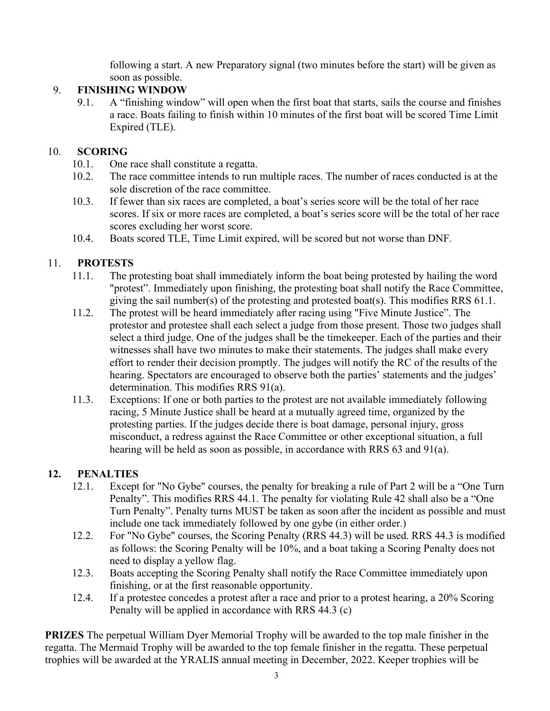following a start. A new Preparatory signal (two minutes before the start) will be given as soon as possible.

# 9. FINISHING WINDOW

9.1. A "finishing window" will open when the first boat that starts, sails the course and finishes a race. Boats failing to finish within 10 minutes of the first boat will be scored Time Limit Expired (TLE).

# 10. SCORING

- 10.1. One race shall constitute a regatta.
- 10.2. The race committee intends to run multiple races. The number of races conducted is at the sole discretion of the race committee.
- 10.3. If fewer than six races are completed, a boat's series score will be the total of her race scores. If six or more races are completed, a boat's series score will be the total of her race scores excluding her worst score.
- 10.4. Boats scored TLE, Time Limit expired, will be scored but not worse than DNF.

# 11. PROTESTS

- 11.1. The protesting boat shall immediately inform the boat being protested by hailing the word "protest". Immediately upon finishing, the protesting boat shall notify the Race Committee, giving the sail number(s) of the protesting and protested boat(s). This modifies RRS 61.1.
- 11.2. The protest will be heard immediately after racing using "Five Minute Justice". The protestor and protestee shall each select a judge from those present. Those two judges shall select a third judge. One of the judges shall be the timekeeper. Each of the parties and their witnesses shall have two minutes to make their statements. The judges shall make every effort to render their decision promptly. The judges will notify the RC of the results of the hearing. Spectators are encouraged to observe both the parties' statements and the judges' determination. This modifies RRS 91(a).
- 11.3. Exceptions: If one or both parties to the protest are not available immediately following racing, 5 Minute Justice shall be heard at a mutually agreed time, organized by the protesting parties. If the judges decide there is boat damage, personal injury, gross misconduct, a redress against the Race Committee or other exceptional situation, a full hearing will be held as soon as possible, in accordance with RRS 63 and 91(a).

# 12. PENALTIES

- 12.1. Except for "No Gybe" courses, the penalty for breaking a rule of Part 2 will be a "One Turn Penalty". This modifies RRS 44.1. The penalty for violating Rule 42 shall also be a "One Turn Penalty". Penalty turns MUST be taken as soon after the incident as possible and must include one tack immediately followed by one gybe (in either order.)
- 12.2. For "No Gybe" courses, the Scoring Penalty (RRS 44.3) will be used. RRS 44.3 is modified as follows: the Scoring Penalty will be 10%, and a boat taking a Scoring Penalty does not need to display a yellow flag.
- 12.3. Boats accepting the Scoring Penalty shall notify the Race Committee immediately upon finishing, or at the first reasonable opportunity.
- 12.4. If a protestee concedes a protest after a race and prior to a protest hearing, a 20% Scoring Penalty will be applied in accordance with RRS 44.3 (c)

PRIZES The perpetual William Dyer Memorial Trophy will be awarded to the top male finisher in the regatta. The Mermaid Trophy will be awarded to the top female finisher in the regatta. These perpetual trophies will be awarded at the YRALIS annual meeting in December, 2022. Keeper trophies will be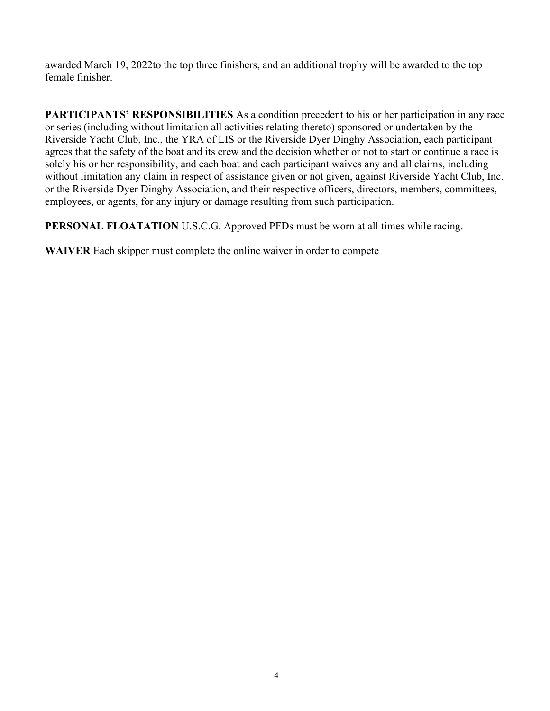awarded March 19, 2022to the top three finishers, and an additional trophy will be awarded to the top female finisher.

PARTICIPANTS' RESPONSIBILITIES As a condition precedent to his or her participation in any race or series (including without limitation all activities relating thereto) sponsored or undertaken by the Riverside Yacht Club, Inc., the YRA of LIS or the Riverside Dyer Dinghy Association, each participant agrees that the safety of the boat and its crew and the decision whether or not to start or continue a race is solely his or her responsibility, and each boat and each participant waives any and all claims, including without limitation any claim in respect of assistance given or not given, against Riverside Yacht Club, Inc. or the Riverside Dyer Dinghy Association, and their respective officers, directors, members, committees, employees, or agents, for any injury or damage resulting from such participation.

PERSONAL FLOATATION U.S.C.G. Approved PFDs must be worn at all times while racing.

WAIVER Each skipper must complete the online waiver in order to compete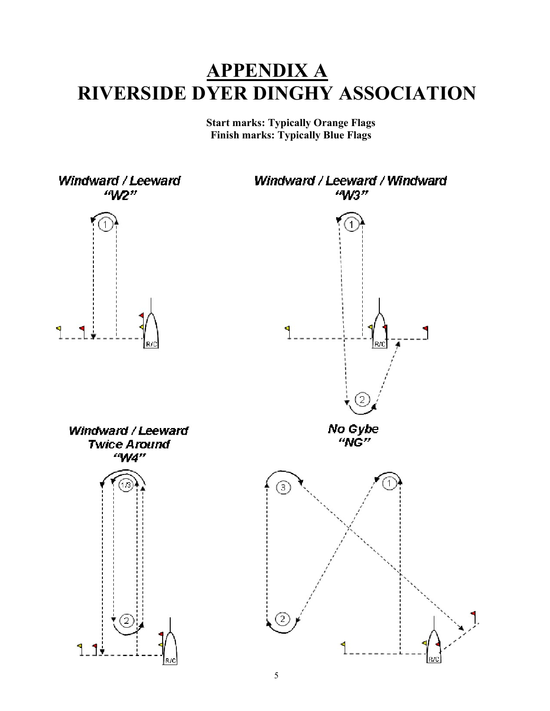# APPENDIX A RIVERSIDE DYER DINGHY ASSOCIATION

Start marks: Typically Orange Flags Finish marks: Typically Blue Flags